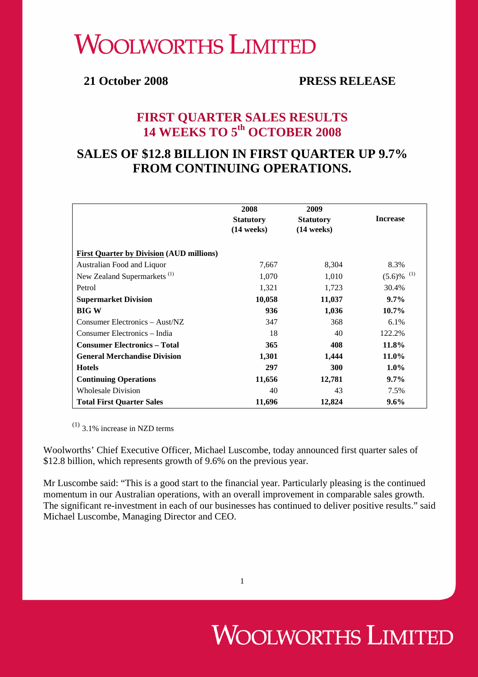# **WOOLWORTHS LIMITED**

### **21 October 2008 PRESS RELEASE**

### **FIRST QUARTER SALES RESULTS 14 WEEKS TO 5th OCTOBER 2008**

## **SALES OF \$12.8 BILLION IN FIRST QUARTER UP 9.7% FROM CONTINUING OPERATIONS.**

|                                                 | 2008<br><b>Statutory</b><br>$(14 \text{ weeks})$ | 2009<br><b>Statutory</b><br>$(14 \text{ weeks})$ | <b>Increase</b>  |
|-------------------------------------------------|--------------------------------------------------|--------------------------------------------------|------------------|
| <b>First Quarter by Division (AUD millions)</b> |                                                  |                                                  |                  |
| Australian Food and Liquor                      | 7,667                                            | 8,304                                            | 8.3%             |
| New Zealand Supermarkets <sup>(1)</sup>         | 1,070                                            | 1,010                                            | (1)<br>$(5.6)\%$ |
| Petrol                                          | 1,321                                            | 1,723                                            | 30.4%            |
| <b>Supermarket Division</b>                     | 10,058                                           | 11,037                                           | $9.7\%$          |
| <b>BIG W</b>                                    | 936                                              | 1,036                                            | $10.7\%$         |
| Consumer Electronics – Aust/NZ                  | 347                                              | 368                                              | 6.1%             |
| Consumer Electronics – India                    | 18                                               | 40                                               | 122.2%           |
| <b>Consumer Electronics - Total</b>             | 365                                              | 408                                              | 11.8%            |
| <b>General Merchandise Division</b>             | 1,301                                            | 1,444                                            | 11.0%            |
| <b>Hotels</b>                                   | 297                                              | 300                                              | $1.0\%$          |
| <b>Continuing Operations</b>                    | 11,656                                           | 12,781                                           | $9.7\%$          |
| <b>Wholesale Division</b>                       | 40                                               | 43                                               | 7.5%             |
| <b>Total First Quarter Sales</b>                | 11,696                                           | 12,824                                           | $9.6\%$          |

 $(1)$  3.1% increase in NZD terms

Woolworths' Chief Executive Officer, Michael Luscombe, today announced first quarter sales of \$12.8 billion, which represents growth of 9.6% on the previous year.

Mr Luscombe said: "This is a good start to the financial year. Particularly pleasing is the continued momentum in our Australian operations, with an overall improvement in comparable sales growth. The significant re-investment in each of our businesses has continued to deliver positive results." said Michael Luscombe, Managing Director and CEO.

# **WOOLWORTHS LIMITED**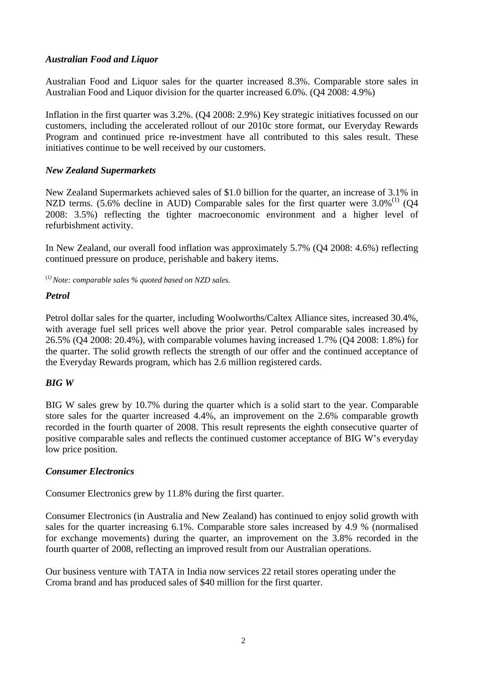#### *Australian Food and Liquor*

Australian Food and Liquor sales for the quarter increased 8.3%. Comparable store sales in Australian Food and Liquor division for the quarter increased 6.0%. (Q4 2008: 4.9%)

Inflation in the first quarter was 3.2%. (Q4 2008: 2.9%) Key strategic initiatives focussed on our customers, including the accelerated rollout of our 2010c store format, our Everyday Rewards Program and continued price re-investment have all contributed to this sales result. These initiatives continue to be well received by our customers.

#### *New Zealand Supermarkets*

New Zealand Supermarkets achieved sales of \$1.0 billion for the quarter, an increase of 3.1% in NZD terms. (5.6% decline in AUD) Comparable sales for the first quarter were  $3.0\%$ <sup>(1)</sup> (Q4) 2008: 3.5%) reflecting the tighter macroeconomic environment and a higher level of refurbishment activity.

In New Zealand, our overall food inflation was approximately 5.7% (Q4 2008: 4.6%) reflecting continued pressure on produce, perishable and bakery items.

(*1) Note: comparable sales % quoted based on NZD sales.* 

#### *Petrol*

Petrol dollar sales for the quarter, including Woolworths/Caltex Alliance sites, increased 30.4%, with average fuel sell prices well above the prior year. Petrol comparable sales increased by 26.5% (Q4 2008: 20.4%), with comparable volumes having increased 1.7% (Q4 2008: 1.8%) for the quarter. The solid growth reflects the strength of our offer and the continued acceptance of the Everyday Rewards program, which has 2.6 million registered cards.

#### *BIG W*

BIG W sales grew by 10.7% during the quarter which is a solid start to the year. Comparable store sales for the quarter increased 4.4%, an improvement on the 2.6% comparable growth recorded in the fourth quarter of 2008. This result represents the eighth consecutive quarter of positive comparable sales and reflects the continued customer acceptance of BIG W's everyday low price position.

#### *Consumer Electronics*

Consumer Electronics grew by 11.8% during the first quarter.

Consumer Electronics (in Australia and New Zealand) has continued to enjoy solid growth with sales for the quarter increasing 6.1%. Comparable store sales increased by 4.9 % (normalised for exchange movements) during the quarter, an improvement on the 3.8% recorded in the fourth quarter of 2008, reflecting an improved result from our Australian operations.

Our business venture with TATA in India now services 22 retail stores operating under the Croma brand and has produced sales of \$40 million for the first quarter.